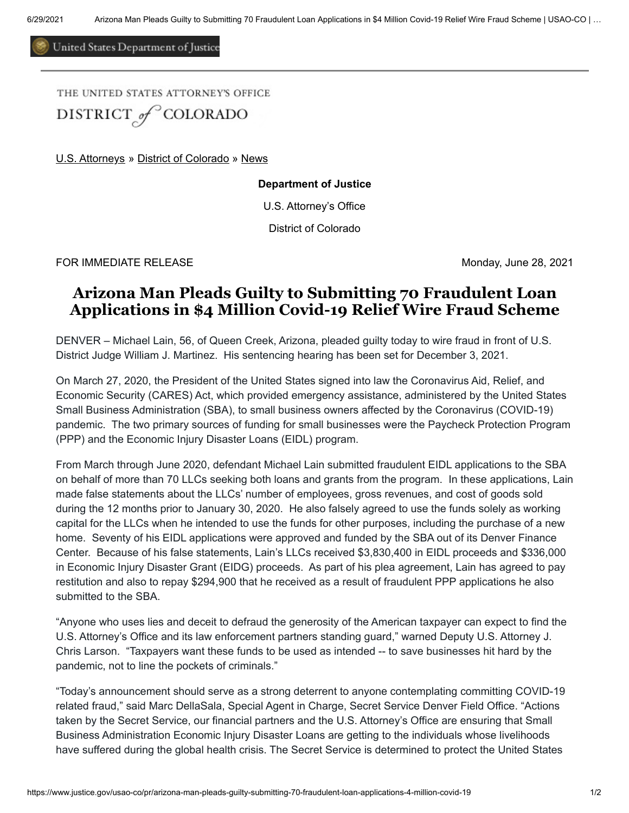United States Department of Justice

THE UNITED STATES ATTORNEY'S OFFICE DISTRICT<sub>of</sub><sup>C</sup>COLORADO

[U.S. Attorneys](https://www.justice.gov/usao) » [District of Colorado](https://www.justice.gov/usao-co) » [News](https://www.justice.gov/usao-co/pr)

**Department of Justice**

U.S. Attorney's Office

District of Colorado

FOR IMMEDIATE RELEASE Management of the state of the monday, June 28, 2021

## **Arizona Man Pleads Guilty to Submitting 70 Fraudulent Loan Applications in \$4 Million Covid-19 Relief Wire Fraud Scheme**

DENVER – Michael Lain, 56, of Queen Creek, Arizona, pleaded guilty today to wire fraud in front of U.S. District Judge William J. Martinez. His sentencing hearing has been set for December 3, 2021.

On March 27, 2020, the President of the United States signed into law the Coronavirus Aid, Relief, and Economic Security (CARES) Act, which provided emergency assistance, administered by the United States Small Business Administration (SBA), to small business owners affected by the Coronavirus (COVID-19) pandemic. The two primary sources of funding for small businesses were the Paycheck Protection Program (PPP) and the Economic Injury Disaster Loans (EIDL) program.

From March through June 2020, defendant Michael Lain submitted fraudulent EIDL applications to the SBA on behalf of more than 70 LLCs seeking both loans and grants from the program. In these applications, Lain made false statements about the LLCs' number of employees, gross revenues, and cost of goods sold during the 12 months prior to January 30, 2020. He also falsely agreed to use the funds solely as working capital for the LLCs when he intended to use the funds for other purposes, including the purchase of a new home. Seventy of his EIDL applications were approved and funded by the SBA out of its Denver Finance Center. Because of his false statements, Lain's LLCs received \$3,830,400 in EIDL proceeds and \$336,000 in Economic Injury Disaster Grant (EIDG) proceeds. As part of his plea agreement, Lain has agreed to pay restitution and also to repay \$294,900 that he received as a result of fraudulent PPP applications he also submitted to the SBA.

"Anyone who uses lies and deceit to defraud the generosity of the American taxpayer can expect to find the U.S. Attorney's Office and its law enforcement partners standing guard," warned Deputy U.S. Attorney J. Chris Larson. "Taxpayers want these funds to be used as intended -- to save businesses hit hard by the pandemic, not to line the pockets of criminals."

"Today's announcement should serve as a strong deterrent to anyone contemplating committing COVID-19 related fraud," said Marc DellaSala, Special Agent in Charge, Secret Service Denver Field Office. "Actions taken by the Secret Service, our financial partners and the U.S. Attorney's Office are ensuring that Small Business Administration Economic Injury Disaster Loans are getting to the individuals whose livelihoods have suffered during the global health crisis. The Secret Service is determined to protect the United States